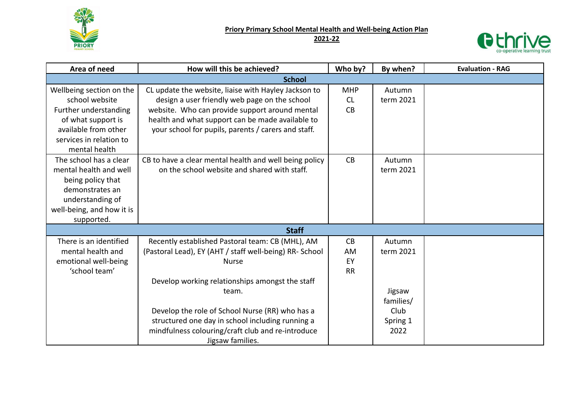

**Priory Primary School Mental Health and Well-being Action Plan**

## **2021-22**



| Area of need              | How will this be achieved?                              | Who by?    | By when?  | <b>Evaluation - RAG</b> |  |  |  |
|---------------------------|---------------------------------------------------------|------------|-----------|-------------------------|--|--|--|
| <b>School</b>             |                                                         |            |           |                         |  |  |  |
| Wellbeing section on the  | CL update the website, liaise with Hayley Jackson to    | <b>MHP</b> | Autumn    |                         |  |  |  |
| school website            | design a user friendly web page on the school           | CL         | term 2021 |                         |  |  |  |
| Further understanding     | website. Who can provide support around mental          | CB         |           |                         |  |  |  |
| of what support is        | health and what support can be made available to        |            |           |                         |  |  |  |
| available from other      | your school for pupils, parents / carers and staff.     |            |           |                         |  |  |  |
| services in relation to   |                                                         |            |           |                         |  |  |  |
| mental health             |                                                         |            |           |                         |  |  |  |
| The school has a clear    | CB to have a clear mental health and well being policy  | CB         | Autumn    |                         |  |  |  |
| mental health and well    | on the school website and shared with staff.            |            | term 2021 |                         |  |  |  |
| being policy that         |                                                         |            |           |                         |  |  |  |
| demonstrates an           |                                                         |            |           |                         |  |  |  |
| understanding of          |                                                         |            |           |                         |  |  |  |
| well-being, and how it is |                                                         |            |           |                         |  |  |  |
| supported.                |                                                         |            |           |                         |  |  |  |
|                           | <b>Staff</b>                                            |            |           |                         |  |  |  |
| There is an identified    | Recently established Pastoral team: CB (MHL), AM        | CB         | Autumn    |                         |  |  |  |
| mental health and         | (Pastoral Lead), EY (AHT / staff well-being) RR- School | <b>AM</b>  | term 2021 |                         |  |  |  |
| emotional well-being      | <b>Nurse</b>                                            | EY         |           |                         |  |  |  |
| 'school team'             |                                                         | <b>RR</b>  |           |                         |  |  |  |
|                           | Develop working relationships amongst the staff         |            |           |                         |  |  |  |
|                           | team.                                                   |            | Jigsaw    |                         |  |  |  |
|                           |                                                         |            | families/ |                         |  |  |  |
|                           | Develop the role of School Nurse (RR) who has a         |            | Club      |                         |  |  |  |
|                           | structured one day in school including running a        |            | Spring 1  |                         |  |  |  |
|                           | mindfulness colouring/craft club and re-introduce       |            | 2022      |                         |  |  |  |
|                           | Jigsaw families.                                        |            |           |                         |  |  |  |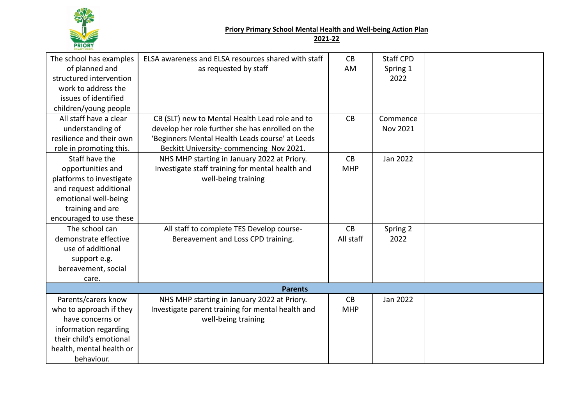

## **Priory Primary School Mental Health and Well-being Action Plan**

**2021-22**

| The school has examples  | ELSA awareness and ELSA resources shared with staff | CB         | <b>Staff CPD</b> |  |  |  |  |  |
|--------------------------|-----------------------------------------------------|------------|------------------|--|--|--|--|--|
| of planned and           | as requested by staff                               | AM         | Spring 1         |  |  |  |  |  |
| structured intervention  |                                                     |            | 2022             |  |  |  |  |  |
| work to address the      |                                                     |            |                  |  |  |  |  |  |
| issues of identified     |                                                     |            |                  |  |  |  |  |  |
| children/young people    |                                                     |            |                  |  |  |  |  |  |
| All staff have a clear   | CB (SLT) new to Mental Health Lead role and to      | CB         | Commence         |  |  |  |  |  |
| understanding of         | develop her role further she has enrolled on the    |            | Nov 2021         |  |  |  |  |  |
| resilience and their own | 'Beginners Mental Health Leads course' at Leeds     |            |                  |  |  |  |  |  |
| role in promoting this.  | Beckitt University-commencing Nov 2021.             |            |                  |  |  |  |  |  |
| Staff have the           | NHS MHP starting in January 2022 at Priory.         | CB         | Jan 2022         |  |  |  |  |  |
| opportunities and        | Investigate staff training for mental health and    | <b>MHP</b> |                  |  |  |  |  |  |
| platforms to investigate | well-being training                                 |            |                  |  |  |  |  |  |
| and request additional   |                                                     |            |                  |  |  |  |  |  |
| emotional well-being     |                                                     |            |                  |  |  |  |  |  |
| training and are         |                                                     |            |                  |  |  |  |  |  |
| encouraged to use these  |                                                     |            |                  |  |  |  |  |  |
| The school can           | All staff to complete TES Develop course-           | CB         | Spring 2         |  |  |  |  |  |
| demonstrate effective    | Bereavement and Loss CPD training.                  | All staff  | 2022             |  |  |  |  |  |
| use of additional        |                                                     |            |                  |  |  |  |  |  |
| support e.g.             |                                                     |            |                  |  |  |  |  |  |
| bereavement, social      |                                                     |            |                  |  |  |  |  |  |
| care.                    |                                                     |            |                  |  |  |  |  |  |
| <b>Parents</b>           |                                                     |            |                  |  |  |  |  |  |
| Parents/carers know      | NHS MHP starting in January 2022 at Priory.         | CB         | Jan 2022         |  |  |  |  |  |
| who to approach if they  | Investigate parent training for mental health and   | <b>MHP</b> |                  |  |  |  |  |  |
| have concerns or         | well-being training                                 |            |                  |  |  |  |  |  |
| information regarding    |                                                     |            |                  |  |  |  |  |  |
| their child's emotional  |                                                     |            |                  |  |  |  |  |  |
| health, mental health or |                                                     |            |                  |  |  |  |  |  |
| behaviour.               |                                                     |            |                  |  |  |  |  |  |